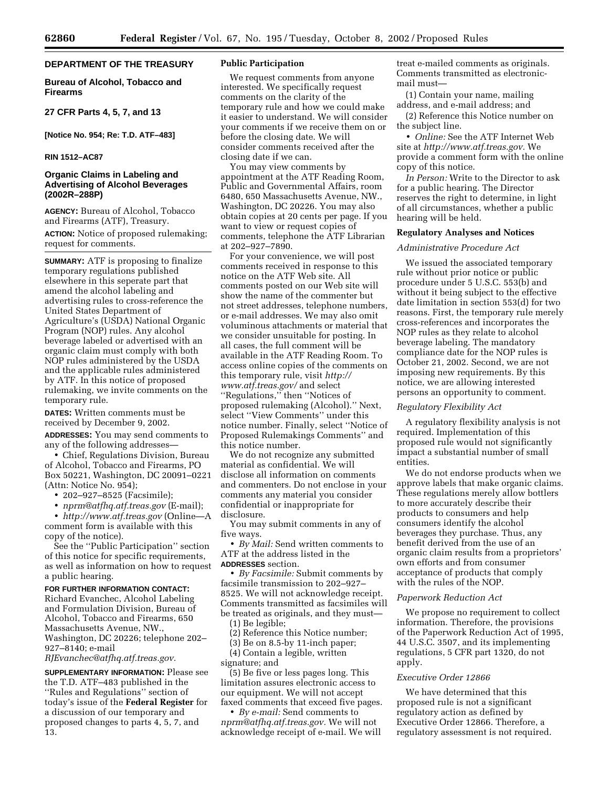## **DEPARTMENT OF THE TREASURY**

**Bureau of Alcohol, Tobacco and Firearms** 

**27 CFR Parts 4, 5, 7, and 13**

**[Notice No. 954; Re: T.D. ATF–483]** 

### **RIN 1512–AC87**

### **Organic Claims in Labeling and Advertising of Alcohol Beverages (2002R–288P)**

**AGENCY:** Bureau of Alcohol, Tobacco and Firearms (ATF), Treasury.

**ACTION:** Notice of proposed rulemaking; request for comments.

**SUMMARY:** ATF is proposing to finalize temporary regulations published elsewhere in this seperate part that amend the alcohol labeling and advertising rules to cross-reference the United States Department of Agriculture's (USDA) National Organic Program (NOP) rules. Any alcohol beverage labeled or advertised with an organic claim must comply with both NOP rules administered by the USDA and the applicable rules administered by ATF. In this notice of proposed rulemaking, we invite comments on the temporary rule.

**DATES:** Written comments must be received by December 9, 2002.

**ADDRESSES:** You may send comments to any of the following addresses—

• Chief, Regulations Division, Bureau of Alcohol, Tobacco and Firearms, PO Box 50221, Washington, DC 20091–0221 (Attn: Notice No. 954);

• 202–927–8525 (Facsimile);

• *nprm@atfhq.atf.treas.gov* (E-mail);

• *http://www.atf.treas.gov* (Online—A comment form is available with this copy of the notice).

See the ''Public Participation'' section of this notice for specific requirements, as well as information on how to request a public hearing.

#### **FOR FURTHER INFORMATION CONTACT:** Richard Evanchec, Alcohol Labeling

and Formulation Division, Bureau of Alcohol, Tobacco and Firearms, 650 Massachusetts Avenue, NW., Washington, DC 20226; telephone 202– 927–8140; e-mail

*RJEvanchec@atfhq.atf.treas.gov.*

**SUPPLEMENTARY INFORMATION:** Please see the T.D. ATF–483 published in the ''Rules and Regulations'' section of today's issue of the **Federal Register** for a discussion of our temporary and proposed changes to parts 4, 5, 7, and 13.

#### **Public Participation**

We request comments from anyone interested. We specifically request comments on the clarity of the temporary rule and how we could make it easier to understand. We will consider your comments if we receive them on or before the closing date. We will consider comments received after the closing date if we can.

You may view comments by appointment at the ATF Reading Room, Public and Governmental Affairs, room 6480, 650 Massachusetts Avenue, NW., Washington, DC 20226. You may also obtain copies at 20 cents per page. If you want to view or request copies of comments, telephone the ATF Librarian at 202–927–7890.

For your convenience, we will post comments received in response to this notice on the ATF Web site. All comments posted on our Web site will show the name of the commenter but not street addresses, telephone numbers, or e-mail addresses. We may also omit voluminous attachments or material that we consider unsuitable for posting. In all cases, the full comment will be available in the ATF Reading Room. To access online copies of the comments on this temporary rule, visit *http:// www.atf.treas.gov/* and select ''Regulations,'' then ''Notices of proposed rulemaking (Alcohol).'' Next, select ''View Comments'' under this notice number. Finally, select ''Notice of Proposed Rulemakings Comments'' and this notice number.

We do not recognize any submitted material as confidential. We will disclose all information on comments and commenters. Do not enclose in your comments any material you consider confidential or inappropriate for disclosure.

You may submit comments in any of five ways.

• *By Mail:* Send written comments to ATF at the address listed in the **ADDRESSES** section.

• *By Facsimile:* Submit comments by facsimile transmission to 202–927– 8525. We will not acknowledge receipt. Comments transmitted as facsimiles will be treated as originals, and they must—

(1) Be legible;

(2) Reference this Notice number;

(3) Be on 8.5-by 11-inch paper;

(4) Contain a legible, written signature; and

(5) Be five or less pages long. This limitation assures electronic access to our equipment. We will not accept faxed comments that exceed five pages.

• *By e-mail:* Send comments to *nprm@atfhq.atf.treas.gov.* We will not acknowledge receipt of e-mail. We will treat e-mailed comments as originals. Comments transmitted as electronicmail must—

(1) Contain your name, mailing address, and e-mail address; and

(2) Reference this Notice number on the subject line.

• *Online:* See the ATF Internet Web site at *http://www.atf.treas.gov.* We provide a comment form with the online copy of this notice.

*In Person:* Write to the Director to ask for a public hearing. The Director reserves the right to determine, in light of all circumstances, whether a public hearing will be held.

#### **Regulatory Analyses and Notices**

#### *Administrative Procedure Act*

We issued the associated temporary rule without prior notice or public procedure under 5 U.S.C. 553(b) and without it being subject to the effective date limitation in section 553(d) for two reasons. First, the temporary rule merely cross-references and incorporates the NOP rules as they relate to alcohol beverage labeling. The mandatory compliance date for the NOP rules is October 21, 2002. Second, we are not imposing new requirements. By this notice, we are allowing interested persons an opportunity to comment.

### *Regulatory Flexibility Act*

A regulatory flexibility analysis is not required. Implementation of this proposed rule would not significantly impact a substantial number of small entities.

We do not endorse products when we approve labels that make organic claims. These regulations merely allow bottlers to more accurately describe their products to consumers and help consumers identify the alcohol beverages they purchase. Thus, any benefit derived from the use of an organic claim results from a proprietors' own efforts and from consumer acceptance of products that comply with the rules of the NOP.

#### *Paperwork Reduction Act*

We propose no requirement to collect information. Therefore, the provisions of the Paperwork Reduction Act of 1995, 44 U.S.C. 3507, and its implementing regulations, 5 CFR part 1320, do not apply.

## *Executive Order 12866*

We have determined that this proposed rule is not a significant regulatory action as defined by Executive Order 12866. Therefore, a regulatory assessment is not required.